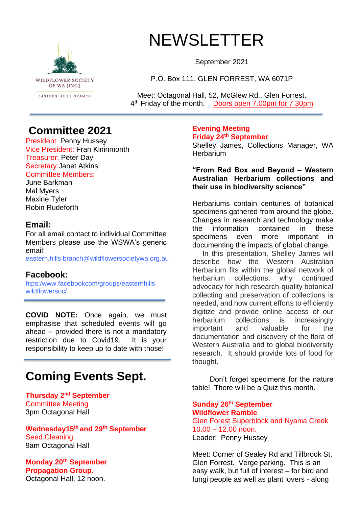

# NEWSLETTER

September 2021

P.O. Box 111, GLEN FORREST, WA 6071P

Meet: Octagonal Hall, 52, McGlew Rd., Glen Forrest. 4<sup>th</sup> Friday of the month. Doors open 7.00pm for 7.30pm

### **Committee 2021**

President: Penny Hussey Vice President: Fran Kininmonth Treasurer: Peter Day Secretary:Janet Atkins Committee Members:

June Barkman Mal Myers Maxine Tyler Robin Rudeforth

#### **Email:**

For all email contact to individual Committee Members please use the WSWA's generic email:

eastern.hills.branch@wildflowersocietywa.org.au

#### **Facebook:**

htps:/www.facebookcom/groups/easternhills wildflowersoc/

**COVID NOTE:** Once again, we must emphasise that scheduled events will go ahead – provided there is not a mandatory restriction due to Covid19. It is your responsibility to keep up to date with those!

# **Coming Events Sept.**

**Thursday 2 nd September** Committee Meeting 3pm Octagonal Hall

**Wednesday15th and 29th September** Seed Cleaning 9am Octagonal Hall

**Monday 20th September Propagation Group.**  Octagonal Hall, 12 noon.

**Evening Meeting Friday 24th September**

Shelley James, Collections Manager, WA **Herbarium** 

**"From Red Box and Beyond – Western Australian Herbarium collections and their use in biodiversity science"**

Herbariums contain centuries of botanical specimens gathered from around the globe. Changes in research and technology make the information contained in these specimens even more important in documenting the impacts of global change.

 In this presentation, Shelley James will describe how the Western Australian Herbarium fits within the global network of herbarium collections, why continued advocacy for high research-quality botanical collecting and preservation of collections is needed, and how current efforts to efficiently digitize and provide online access of our herbarium collections is increasingly important and valuable for the documentation and discovery of the flora of Western Australia and to global biodiversity research. It should provide lots of food for thought.

Don't forget specimens for the nature table! There will be a Quiz this month.

**Sunday 26th September Wildflower Ramble** Glen Forest Superblock and Nyania Creek 10.00 – 12.00 noon. Leader: Penny Hussey

Meet: Corner of Sealey Rd and Tillbrook St, Glen Forrest. Verge parking. This is an easy walk, but full of interest – for bird and fungi people as well as plant lovers - along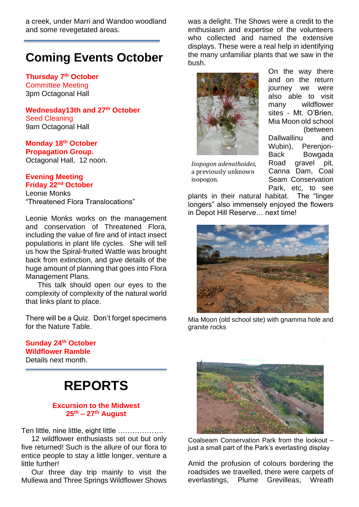a creek, under Marri and Wandoo woodland and some revegetated areas.

### **Coming Events October**

**Thursday 7 th October**  Committee Meeting 3pm Octagonal Hall

**Wednesday13th and 27th October** Seed Cleaning 9am Octagonal Hall

**Monday 18th October Propagation Group.**  Octagonal Hall, 12 noon.

#### **Evening Meeting Friday 22nd October**

Leonie Monks "Threatened Flora Translocations"

Leonie Monks works on the management and conservation of Threatened Flora, including the value of fire and of intact insect populations in plant life cycles. She will tell us how the Spiral-fruited Wattle was brought back from extinction, and give details of the huge amount of planning that goes into Flora Management Plans.

 This talk should open our eyes to the complexity of complexity of the natural world that links plant to place.

There will be a Quiz. Don't forget specimens for the Nature Table.

**Sunday 24th October Wildflower Ramble** Details next month.

# **REPORTS**

#### **Excursion to the Midwest 25th – 27th August**

Ten little, nine little, eight little ……………….

 12 wildflower enthusiasts set out but only five returned! Such is the allure of our flora to entice people to stay a little longer, venture a little further!

 Our three day trip mainly to visit the Mullewa and Three Springs Wildflower Shows

was a delight. The Shows were a credit to the enthusiasm and expertise of the volunteers who collected and named the extensive displays. These were a real help in identifying the many unfamiliar plants that we saw in the bush.



*Isopogon adenathoides,* a previously unknown isopogon.

On the way there and on the return journey we were also able to visit many wildflower sites - Mt. O'Brien, Mia Moon old school (between Dallwallinu and Wubin), Perenjori-Back Bowgada Road gravel pit, Canna Dam, Coal Seam Conservation Park, etc, to see

plants in their natural habitat. The "linger longers" also immensely enjoyed the flowers in Depot Hill Reserve… next time!



Mia Moon (old school site) with gnamma hole and granite rocks



Coalseam Conservation Park from the lookout – just a small part of the Park's everlasting display

Amid the profusion of colours bordering the roadsides we travelled, there were carpets of everlastings, Plume Grevilleas, Wreath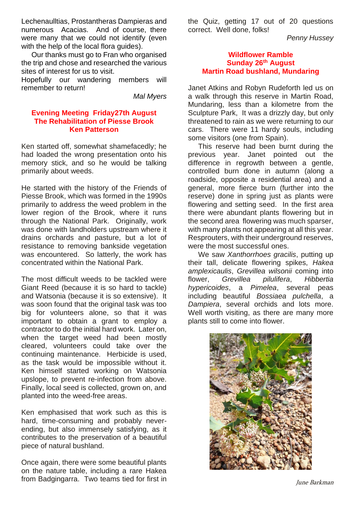Lechenaulltias, Prostantheras Dampieras and numerous Acacias. And of course, there were many that we could not identify (even with the help of the local flora guides).

 Our thanks must go to Fran who organised the trip and chose and researched the various sites of interest for us to visit.

Hopefully our wandering members will remember to return!

*Mal Myers*

#### **Evening Meeting Friday27th August The Rehabilitation of Piesse Brook Ken Patterson**

Ken started off, somewhat shamefacedly; he had loaded the wrong presentation onto his memory stick, and so he would be talking primarily about weeds.

He started with the history of the Friends of Piesse Brook, which was formed in the 1990s primarily to address the weed problem in the lower region of the Brook, where it runs through the National Park. Originally, work was done with landholders upstream where it drains orchards and pasture, but a lot of resistance to removing bankside vegetation was encountered. So latterly, the work has concentrated within the National Park.

The most difficult weeds to be tackled were Giant Reed (because it is so hard to tackle) and Watsonia (because it is so extensive). It was soon found that the original task was too big for volunteers alone, so that it was important to obtain a grant to employ a contractor to do the initial hard work. Later on, when the target weed had been mostly cleared, volunteers could take over the continuing maintenance. Herbicide is used, as the task would be impossible without it. Ken himself started working on Watsonia upslope, to prevent re-infection from above. Finally, local seed is collected, grown on, and planted into the weed-free areas.

Ken emphasised that work such as this is hard, time-consuming and probably neverending, but also immensely satisfying, as it contributes to the preservation of a beautiful piece of natural bushland.

Once again, there were some beautiful plants on the nature table, including a rare Hakea from Badgingarra. Two teams tied for first in the Quiz, getting 17 out of 20 questions correct. Well done, folks!

*Penny Hussey*

#### **Wildflower Ramble Sunday 26th August Martin Road bushland, Mundaring**

Janet Atkins and Robyn Rudeforth led us on a walk through this reserve in Martin Road, Mundaring, less than a kilometre from the Sculpture Park, It was a drizzly day, but only threatened to rain as we were returning to our cars. There were 11 hardy souls, including some visitors (one from Spain).

 This reserve had been burnt during the previous year. Janet pointed out the difference in regrowth between a gentle, controlled burn done in autumn (along a roadside, opposite a residential area) and a general, more fierce burn (further into the reserve) done in spring just as plants were flowering and setting seed. In the first area there were abundant plants flowering but in the second area flowering was much sparser, with many plants not appearing at all this year. Resprouters, with their underground reserves, were the most successful ones.

 We saw *Xanthorrhoes gracilis*, putting up their tall, delicate flowering spikes, *Hakea amplexicaulis*, *Grevillea wilsonii* coming into flower, *Grevillea pilulifera*, *Hibbertia hypericoides*, a *Pimelea*, several peas including beautiful *Bossiaea pulchella*, a *Dampiera*, several orchids and lots more. Well worth visiting, as there are many more plants still to come into flower.



June Barkman